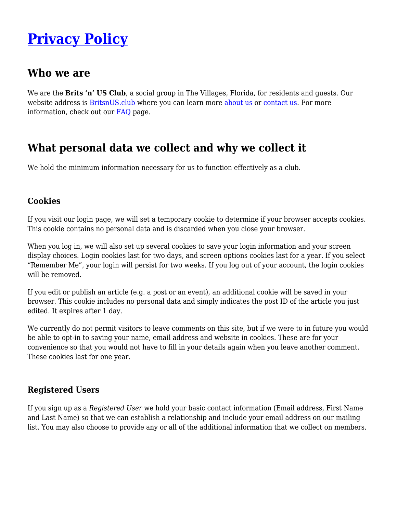# **[Privacy Policy](https://britsnus.club/other/privacy-policy/)**

# **Who we are**

We are the **Brits 'n' US Club**, a social group in The Villages, Florida, for residents and guests. Our website address is **BritsnUS.club** where you can learn more [about us](https://britsnus.club/about/) or [contact us](https://britsnus.club/contact/). For more information, check out our [FAQ](https://britsnus.club/faq/) page.

# **What personal data we collect and why we collect it**

We hold the minimum information necessary for us to function effectively as a club.

#### **Cookies**

If you visit our login page, we will set a temporary cookie to determine if your browser accepts cookies. This cookie contains no personal data and is discarded when you close your browser.

When you log in, we will also set up several cookies to save your login information and your screen display choices. Login cookies last for two days, and screen options cookies last for a year. If you select "Remember Me", your login will persist for two weeks. If you log out of your account, the login cookies will be removed.

If you edit or publish an article (e.g. a post or an event), an additional cookie will be saved in your browser. This cookie includes no personal data and simply indicates the post ID of the article you just edited. It expires after 1 day.

We currently do not permit visitors to leave comments on this site, but if we were to in future you would be able to opt-in to saving your name, email address and website in cookies. These are for your convenience so that you would not have to fill in your details again when you leave another comment. These cookies last for one year.

### **Registered Users**

If you sign up as a *Registered User* we hold your basic contact information (Email address, First Name and Last Name) so that we can establish a relationship and include your email address on our mailing list. You may also choose to provide any or all of the additional information that we collect on members.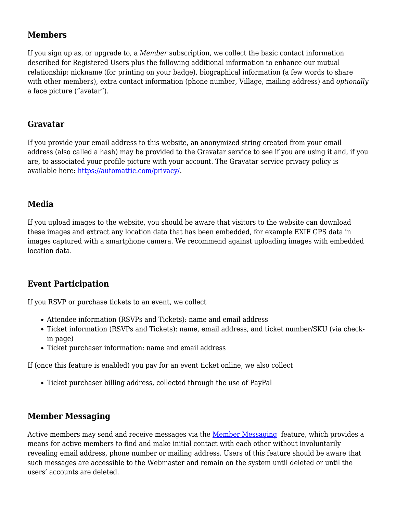# **Members**

If you sign up as, or upgrade to, a *Member* subscription, we collect the basic contact information described for Registered Users plus the following additional information to enhance our mutual relationship: nickname (for printing on your badge), biographical information (a few words to share with other members), extra contact information (phone number, Village, mailing address) and *optionally* a face picture ("avatar").

### **Gravatar**

If you provide your email address to this website, an anonymized string created from your email address (also called a hash) may be provided to the Gravatar service to see if you are using it and, if you are, to associated your profile picture with your account. The Gravatar service privacy policy is available here: <https://automattic.com/privacy/>.

### **Media**

If you upload images to the website, you should be aware that visitors to the website can download these images and extract any location data that has been embedded, for example EXIF GPS data in images captured with a smartphone camera. We recommend against uploading images with embedded location data.

### **Event Participation**

If you RSVP or purchase tickets to an event, we collect

- Attendee information (RSVPs and Tickets): name and email address
- Ticket information (RSVPs and Tickets): name, email address, and ticket number/SKU (via checkin page)
- Ticket purchaser information: name and email address

If (once this feature is enabled) you pay for an event ticket online, we also collect

Ticket purchaser billing address, collected through the use of PayPal

# **Member Messaging**

Active members may send and receive messages via the [Member Messaging](https://britsnus.club/membership/member-messaging/) feature, which provides a means for active members to find and make initial contact with each other without involuntarily revealing email address, phone number or mailing address. Users of this feature should be aware that such messages are accessible to the Webmaster and remain on the system until deleted or until the users' accounts are deleted.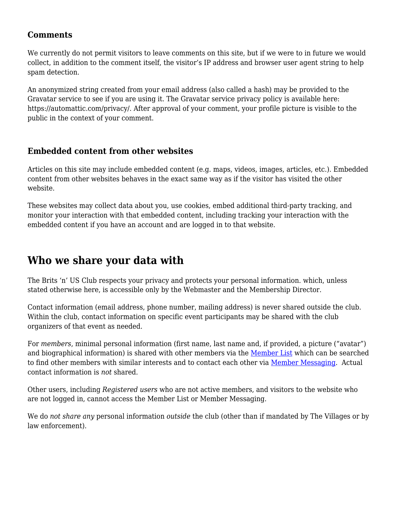#### **Comments**

We currently do not permit visitors to leave comments on this site, but if we were to in future we would collect, in addition to the comment itself, the visitor's IP address and browser user agent string to help spam detection.

An anonymized string created from your email address (also called a hash) may be provided to the Gravatar service to see if you are using it. The Gravatar service privacy policy is available here: https://automattic.com/privacy/. After approval of your comment, your profile picture is visible to the public in the context of your comment.

### **Embedded content from other websites**

Articles on this site may include embedded content (e.g. maps, videos, images, articles, etc.). Embedded content from other websites behaves in the exact same way as if the visitor has visited the other website.

These websites may collect data about you, use cookies, embed additional third-party tracking, and monitor your interaction with that embedded content, including tracking your interaction with the embedded content if you have an account and are logged in to that website.

# **Who we share your data with**

The Brits 'n' US Club respects your privacy and protects your personal information. which, unless stated otherwise here, is accessible only by the Webmaster and the Membership Director.

Contact information (email address, phone number, mailing address) is never shared outside the club. Within the club, contact information on specific event participants may be shared with the club organizers of that event as needed.

For *members*, minimal personal information (first name, last name and, if provided, a picture ("avatar") and biographical information) is shared with other members via the [Member List](https://britsnus.club/membership/member-list/) which can be searched to find other members with similar interests and to contact each other via [Member Messaging.](https://britsnus.club/membership/member-messaging/) Actual contact information is *not* shared.

Other users, including *Registered users* who are not active members, and visitors to the website who are not logged in, cannot access the Member List or Member Messaging.

We do *not share any* personal information *outside* the club (other than if mandated by The Villages or by law enforcement).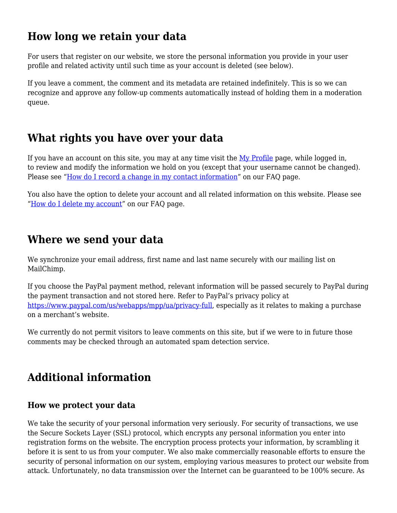# **How long we retain your data**

For users that register on our website, we store the personal information you provide in your user profile and related activity until such time as your account is deleted (see below).

If you leave a comment, the comment and its metadata are retained indefinitely. This is so we can recognize and approve any follow-up comments automatically instead of holding them in a moderation queue.

# **What rights you have over your data**

If you have an account on this site, you may at any time visit the [My Profile](https://britsnus.club/membership/edit-profile/) page, while logged in, to review and modify the information we hold on you (except that your username cannot be changed). Please see ["How do I record a change in my contact information"](https://britsnus.club/faq/#How_to_delete_account) on our FAQ page.

You also have the option to delete your account and all related information on this website. Please see "[How do I delete my account](https://britsnus.club/faq/#How_to_delete_account)" on our FAQ page.

# **Where we send your data**

We synchronize your email address, first name and last name securely with our mailing list on MailChimp.

If you choose the PayPal payment method, relevant information will be passed securely to PayPal during the payment transaction and not stored here. Refer to PayPal's privacy policy at <https://www.paypal.com/us/webapps/mpp/ua/privacy-full>, especially as it relates to making a purchase on a merchant's website.

We currently do not permit visitors to leave comments on this site, but if we were to in future those comments may be checked through an automated spam detection service.

# **Additional information**

### **How we protect your data**

We take the security of your personal information very seriously. For security of transactions, we use the Secure Sockets Layer (SSL) protocol, which encrypts any personal information you enter into registration forms on the website. The encryption process protects your information, by scrambling it before it is sent to us from your computer. We also make commercially reasonable efforts to ensure the security of personal information on our system, employing various measures to protect our website from attack. Unfortunately, no data transmission over the Internet can be guaranteed to be 100% secure. As